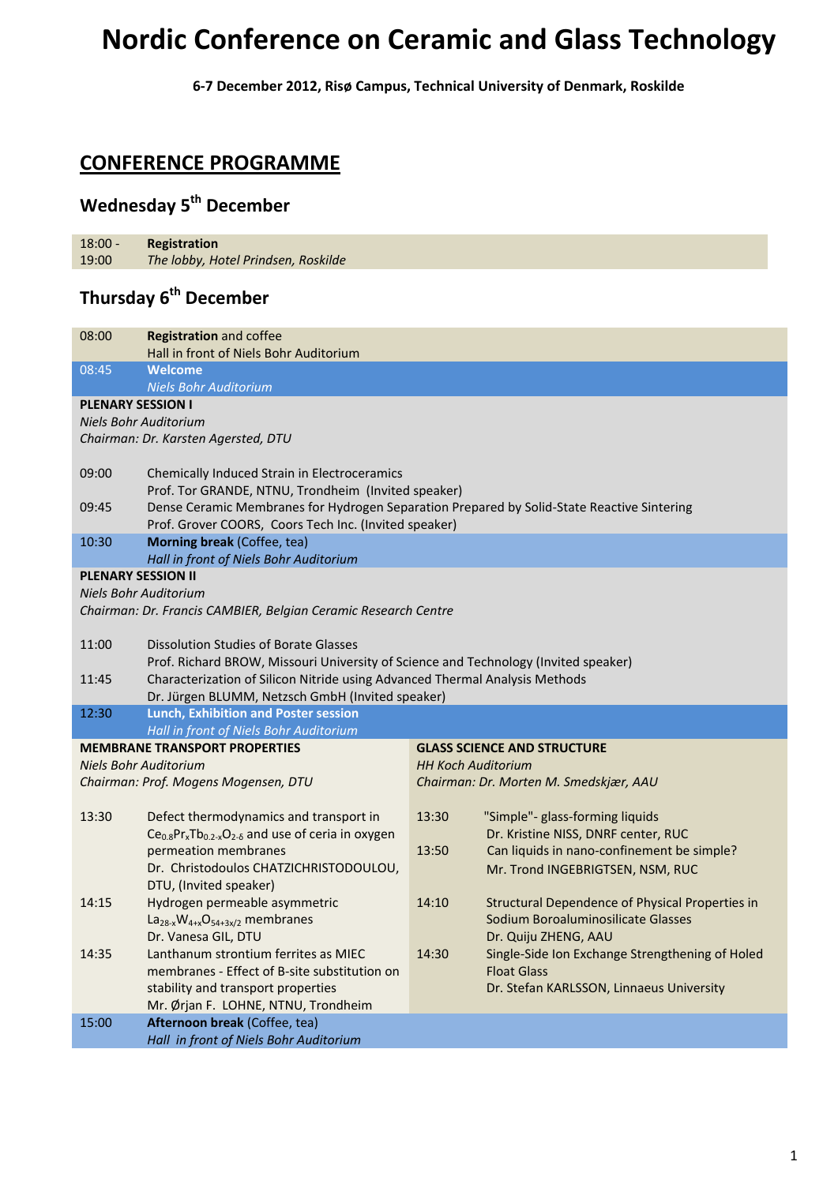# **Nordic Conference on Ceramic and Glass Technology**

**6‐7 December 2012, Risø Campus, Technical University of Denmark, Roskilde**

#### **CONFERENCE PROGRAMME**

### **Wednesday 5th December**

18:00 ‐ 19:00 **Registration**  *The lobby, Hotel Prindsen, Roskilde*

### **Thursday 6th December**

| 08:00                                                          | <b>Registration and coffee</b><br>Hall in front of Niels Bohr Auditorium                                                                            |                    |                                                 |  |  |
|----------------------------------------------------------------|-----------------------------------------------------------------------------------------------------------------------------------------------------|--------------------|-------------------------------------------------|--|--|
| 08:45                                                          | Welcome                                                                                                                                             |                    |                                                 |  |  |
|                                                                | <b>Niels Bohr Auditorium</b>                                                                                                                        |                    |                                                 |  |  |
| <b>PLENARY SESSION I</b>                                       |                                                                                                                                                     |                    |                                                 |  |  |
|                                                                | Niels Bohr Auditorium                                                                                                                               |                    |                                                 |  |  |
|                                                                | Chairman: Dr. Karsten Agersted, DTU                                                                                                                 |                    |                                                 |  |  |
|                                                                |                                                                                                                                                     |                    |                                                 |  |  |
| 09:00                                                          | Chemically Induced Strain in Electroceramics                                                                                                        |                    |                                                 |  |  |
|                                                                | Prof. Tor GRANDE, NTNU, Trondheim (Invited speaker)                                                                                                 |                    |                                                 |  |  |
| 09:45                                                          | Dense Ceramic Membranes for Hydrogen Separation Prepared by Solid-State Reactive Sintering<br>Prof. Grover COORS, Coors Tech Inc. (Invited speaker) |                    |                                                 |  |  |
|                                                                |                                                                                                                                                     |                    |                                                 |  |  |
| 10:30                                                          | Morning break (Coffee, tea)                                                                                                                         |                    |                                                 |  |  |
|                                                                | Hall in front of Niels Bohr Auditorium                                                                                                              |                    |                                                 |  |  |
| <b>PLENARY SESSION II</b>                                      |                                                                                                                                                     |                    |                                                 |  |  |
|                                                                | Niels Bohr Auditorium                                                                                                                               |                    |                                                 |  |  |
| Chairman: Dr. Francis CAMBIER, Belgian Ceramic Research Centre |                                                                                                                                                     |                    |                                                 |  |  |
|                                                                |                                                                                                                                                     |                    |                                                 |  |  |
| 11:00                                                          | <b>Dissolution Studies of Borate Glasses</b>                                                                                                        |                    |                                                 |  |  |
|                                                                | Prof. Richard BROW, Missouri University of Science and Technology (Invited speaker)                                                                 |                    |                                                 |  |  |
| 11:45                                                          | Characterization of Silicon Nitride using Advanced Thermal Analysis Methods                                                                         |                    |                                                 |  |  |
|                                                                | Dr. Jürgen BLUMM, Netzsch GmbH (Invited speaker)                                                                                                    |                    |                                                 |  |  |
| 12:30                                                          | <b>Lunch, Exhibition and Poster session</b>                                                                                                         |                    |                                                 |  |  |
|                                                                | Hall in front of Niels Bohr Auditorium                                                                                                              |                    |                                                 |  |  |
|                                                                | <b>MEMBRANE TRANSPORT PROPERTIES</b>                                                                                                                |                    | <b>GLASS SCIENCE AND STRUCTURE</b>              |  |  |
|                                                                | <b>Niels Bohr Auditorium</b>                                                                                                                        | HH Koch Auditorium |                                                 |  |  |
|                                                                | Chairman: Prof. Mogens Mogensen, DTU                                                                                                                |                    | Chairman: Dr. Morten M. Smedskjær, AAU          |  |  |
|                                                                |                                                                                                                                                     |                    |                                                 |  |  |
| 13:30                                                          | Defect thermodynamics and transport in                                                                                                              | 13:30              | "Simple"- glass-forming liquids                 |  |  |
|                                                                | $Ce0.8 Prx Tb0.2-x O2-δ$ and use of ceria in oxygen                                                                                                 |                    | Dr. Kristine NISS, DNRF center, RUC             |  |  |
|                                                                | permeation membranes                                                                                                                                | 13:50              | Can liquids in nano-confinement be simple?      |  |  |
|                                                                | Dr. Christodoulos CHATZICHRISTODOULOU,                                                                                                              |                    | Mr. Trond INGEBRIGTSEN, NSM, RUC                |  |  |
|                                                                | DTU, (Invited speaker)                                                                                                                              |                    |                                                 |  |  |
| 14:15                                                          | Hydrogen permeable asymmetric                                                                                                                       | 14:10              | Structural Dependence of Physical Properties in |  |  |
|                                                                | $La_{28-x}W_{4+x}O_{54+3x/2}$ membranes                                                                                                             |                    | Sodium Boroaluminosilicate Glasses              |  |  |
|                                                                | Dr. Vanesa GIL, DTU                                                                                                                                 |                    | Dr. Quiju ZHENG, AAU                            |  |  |
| 14:35                                                          | Lanthanum strontium ferrites as MIEC                                                                                                                | 14:30              | Single-Side Ion Exchange Strengthening of Holed |  |  |
|                                                                | membranes - Effect of B-site substitution on                                                                                                        |                    | <b>Float Glass</b>                              |  |  |
|                                                                | stability and transport properties                                                                                                                  |                    | Dr. Stefan KARLSSON, Linnaeus University        |  |  |
|                                                                | Mr. Ørjan F. LOHNE, NTNU, Trondheim                                                                                                                 |                    |                                                 |  |  |
| 15:00                                                          | Afternoon break (Coffee, tea)                                                                                                                       |                    |                                                 |  |  |
|                                                                | Hall in front of Niels Bohr Auditorium                                                                                                              |                    |                                                 |  |  |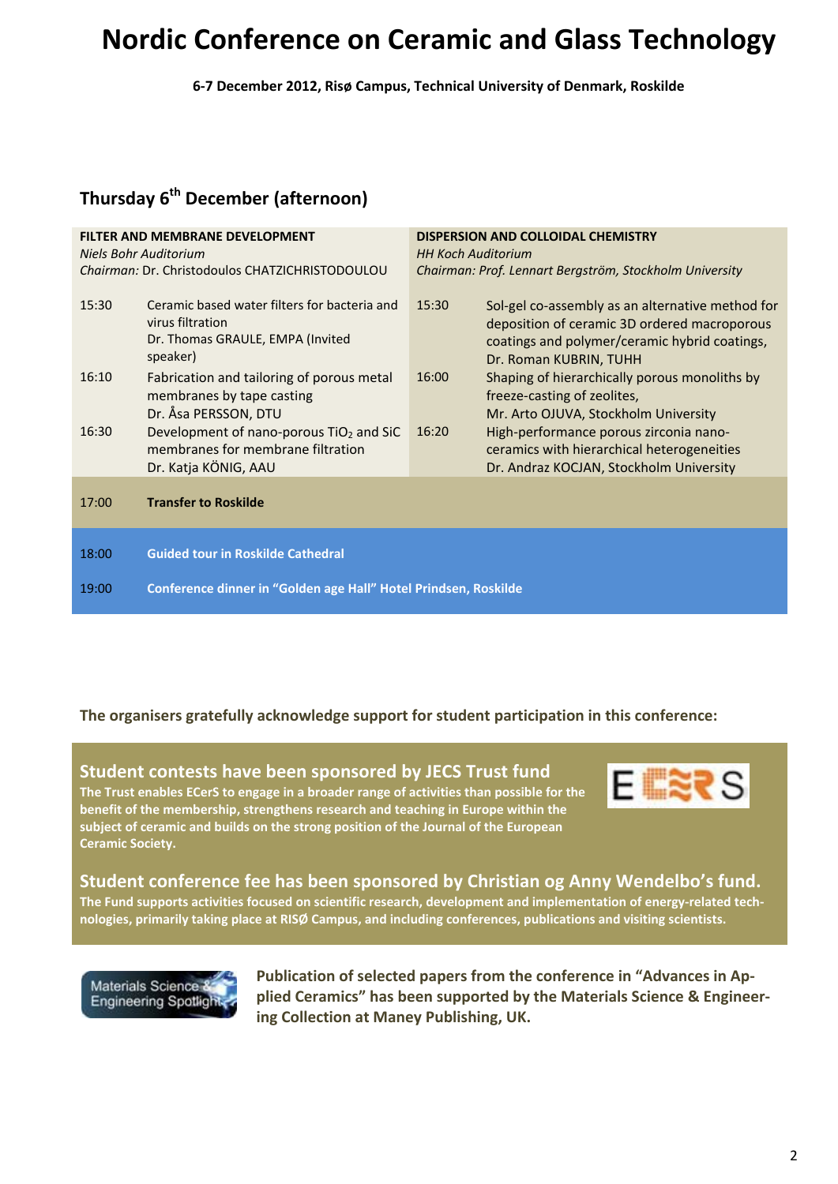## **Nordic Conference on Ceramic and Glass Technology**

**6‐7 December 2012, Risø Campus, Technical University of Denmark, Roskilde**

### **Thursday 6th December (afternoon)**

| <b>FILTER AND MEMBRANE DEVELOPMENT</b><br>Niels Bohr Auditorium<br>Chairman: Dr. Christodoulos CHATZICHRISTODOULOU |                                                                                                                  | DISPERSION AND COLLOIDAL CHEMISTRY<br><b>HH Koch Auditorium</b><br>Chairman: Prof. Lennart Bergström, Stockholm University |                                                                                                                                                                             |  |
|--------------------------------------------------------------------------------------------------------------------|------------------------------------------------------------------------------------------------------------------|----------------------------------------------------------------------------------------------------------------------------|-----------------------------------------------------------------------------------------------------------------------------------------------------------------------------|--|
| 15:30                                                                                                              | Ceramic based water filters for bacteria and<br>virus filtration<br>Dr. Thomas GRAULE, EMPA (Invited<br>speaker) | 15:30                                                                                                                      | Sol-gel co-assembly as an alternative method for<br>deposition of ceramic 3D ordered macroporous<br>coatings and polymer/ceramic hybrid coatings,<br>Dr. Roman KUBRIN, TUHH |  |
| 16:10                                                                                                              | Fabrication and tailoring of porous metal<br>membranes by tape casting<br>Dr. Åsa PERSSON, DTU                   | 16:00                                                                                                                      | Shaping of hierarchically porous monoliths by<br>freeze-casting of zeolites,<br>Mr. Arto OJUVA, Stockholm University                                                        |  |
| 16:30                                                                                                              | Development of nano-porous $TiO2$ and SiC<br>membranes for membrane filtration<br>Dr. Katja KÖNIG, AAU           | 16:20                                                                                                                      | High-performance porous zirconia nano-<br>ceramics with hierarchical heterogeneities<br>Dr. Andraz KOCJAN, Stockholm University                                             |  |
| 17:00                                                                                                              | <b>Transfer to Roskilde</b>                                                                                      |                                                                                                                            |                                                                                                                                                                             |  |
| 18:00                                                                                                              | <b>Guided tour in Roskilde Cathedral</b>                                                                         |                                                                                                                            |                                                                                                                                                                             |  |
| 19:00                                                                                                              | Conference dinner in "Golden age Hall" Hotel Prindsen, Roskilde                                                  |                                                                                                                            |                                                                                                                                                                             |  |

#### **The organisers gratefully acknowledge support for student participation in this conference:**





#### **Student conference fee has been sponsored by Christian og Anny Wendelbo's fund.**

The Fund supports activities focused on scientific research, development and implementation of energy-related tech**nologies, primarily taking place at RISØ Campus, and including conferences, publications and visiting scientists.** 



 **Publication of selected papers from the conference in "Advances in Ap‐ plied Ceramics" has been supported by the Materials Science & Engineer‐ ing Collection at Maney Publishing, UK.**